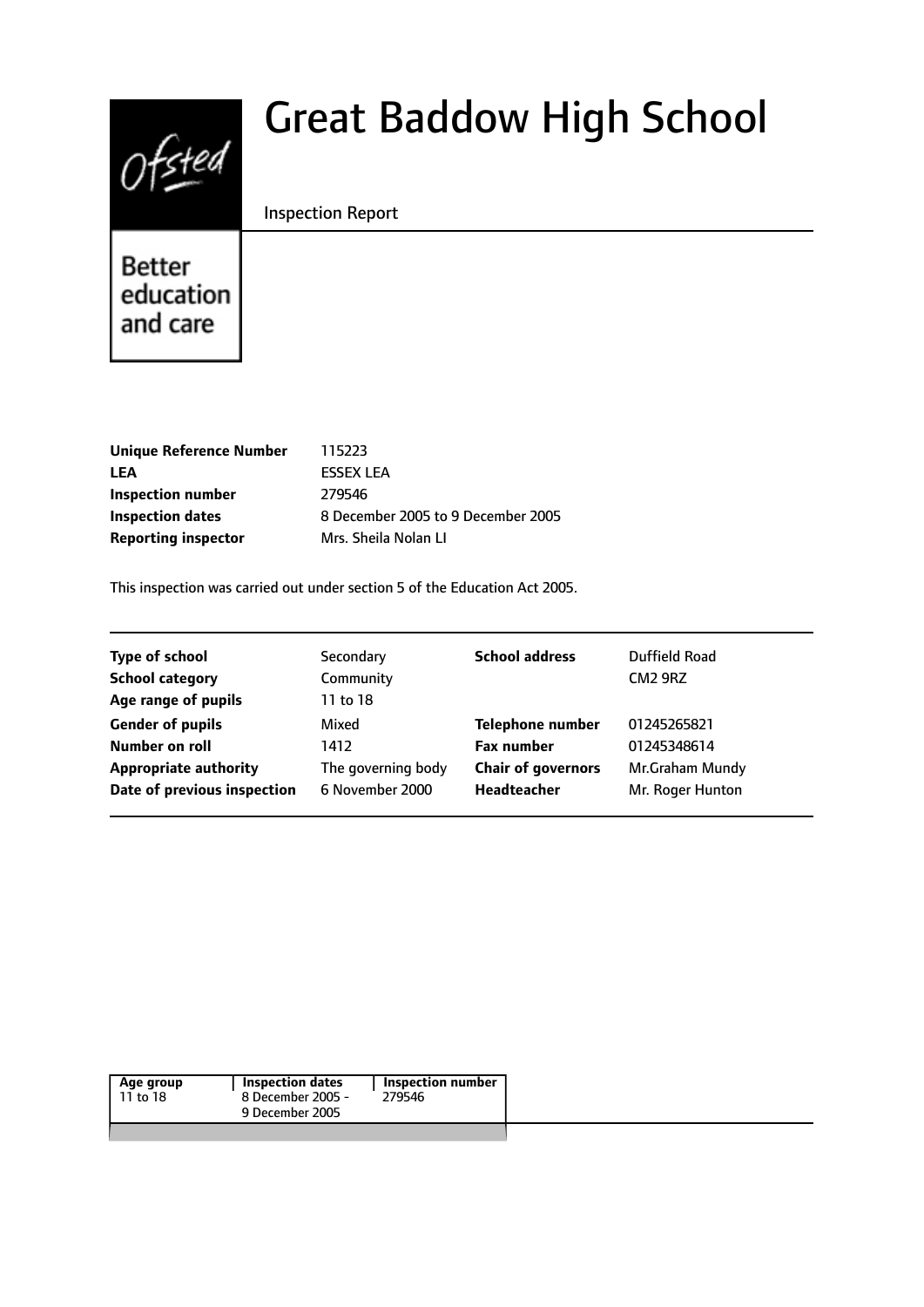# $0$ fsted

# Great Baddow High School

Inspection Report

Better education and care

| 115223                             |
|------------------------------------|
| <b>FSSEX LEA</b>                   |
| 279546                             |
| 8 December 2005 to 9 December 2005 |
| Mrs. Sheila Nolan Ll               |
|                                    |

This inspection was carried out under section 5 of the Education Act 2005.

| <b>Type of school</b>        | Secondary          | <b>School address</b>     | Duffield Road    |
|------------------------------|--------------------|---------------------------|------------------|
| <b>School category</b>       | Community          |                           | <b>CM2 9RZ</b>   |
| Age range of pupils          | 11 to 18           |                           |                  |
| <b>Gender of pupils</b>      | Mixed              | <b>Telephone number</b>   | 01245265821      |
| <b>Number on roll</b>        | 1412               | <b>Fax number</b>         | 01245348614      |
| <b>Appropriate authority</b> | The governing body | <b>Chair of governors</b> | Mr.Graham Mundy  |
| Date of previous inspection  | 6 November 2000    | Headteacher               | Mr. Roger Hunton |

|--|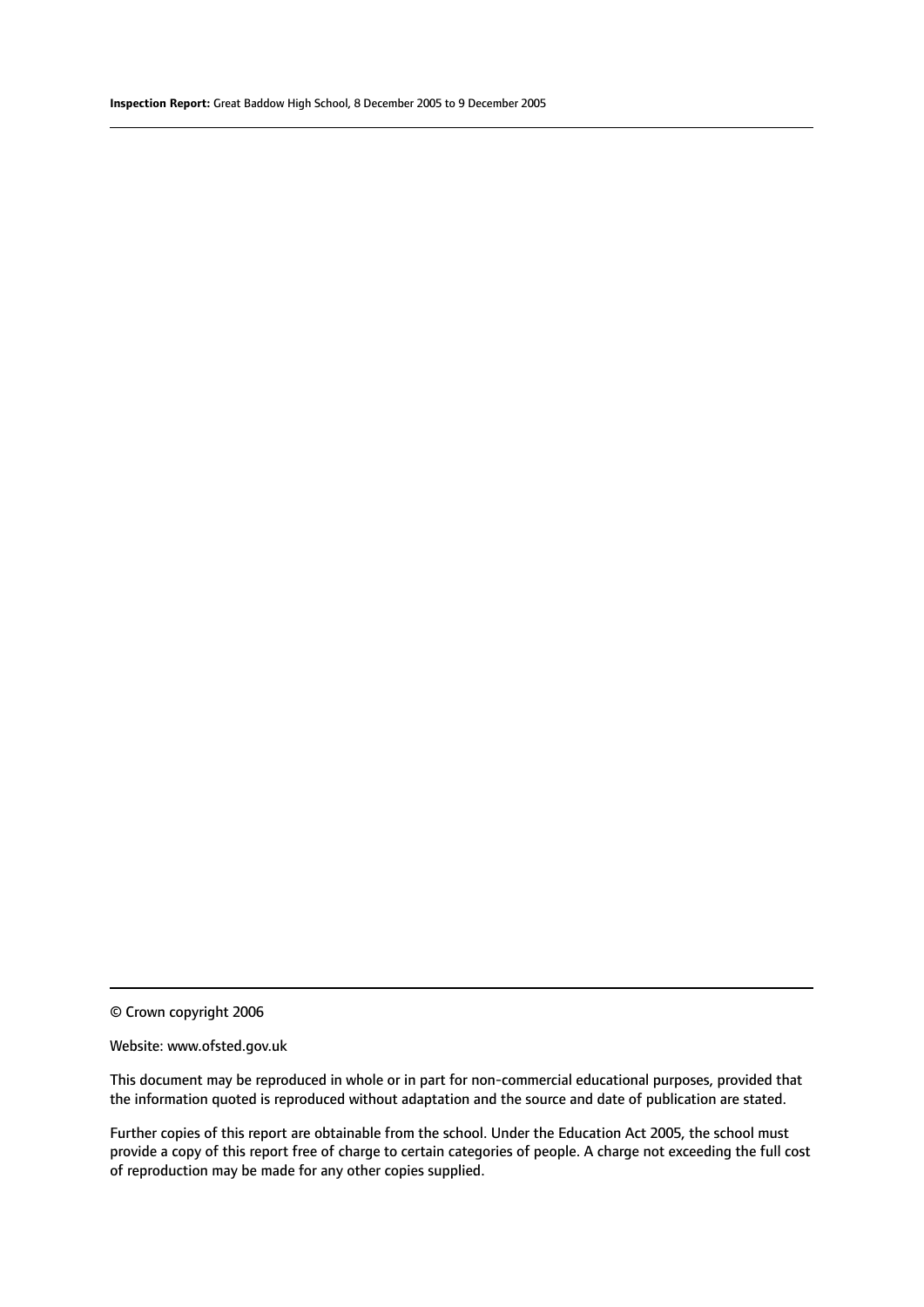© Crown copyright 2006

#### Website: www.ofsted.gov.uk

This document may be reproduced in whole or in part for non-commercial educational purposes, provided that the information quoted is reproduced without adaptation and the source and date of publication are stated.

Further copies of this report are obtainable from the school. Under the Education Act 2005, the school must provide a copy of this report free of charge to certain categories of people. A charge not exceeding the full cost of reproduction may be made for any other copies supplied.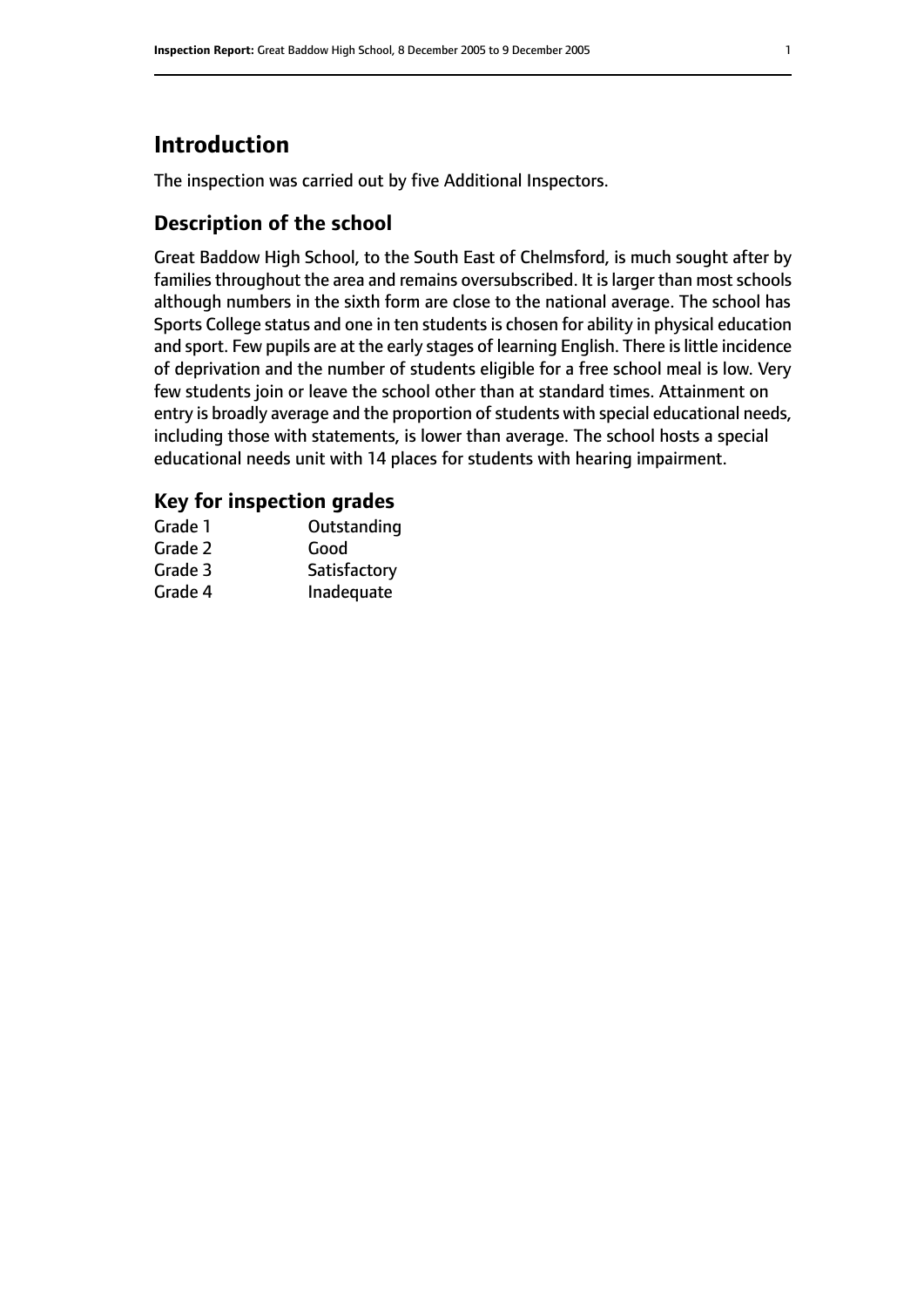## **Introduction**

The inspection was carried out by five Additional Inspectors.

#### **Description of the school**

Great Baddow High School, to the South East of Chelmsford, is much sought after by families throughout the area and remains oversubscribed. It is larger than most schools although numbers in the sixth form are close to the national average. The school has Sports College status and one in ten students is chosen for ability in physical education and sport. Few pupils are at the early stages of learning English. There is little incidence of deprivation and the number of students eligible for a free school meal is low. Very few students join or leave the school other than at standard times. Attainment on entry is broadly average and the proportion of students with special educational needs, including those with statements, is lower than average. The school hosts a special educational needs unit with 14 places for students with hearing impairment.

#### **Key for inspection grades**

| Grade 1 | Outstanding  |
|---------|--------------|
| Grade 2 | Good         |
| Grade 3 | Satisfactory |
| Grade 4 | Inadequate   |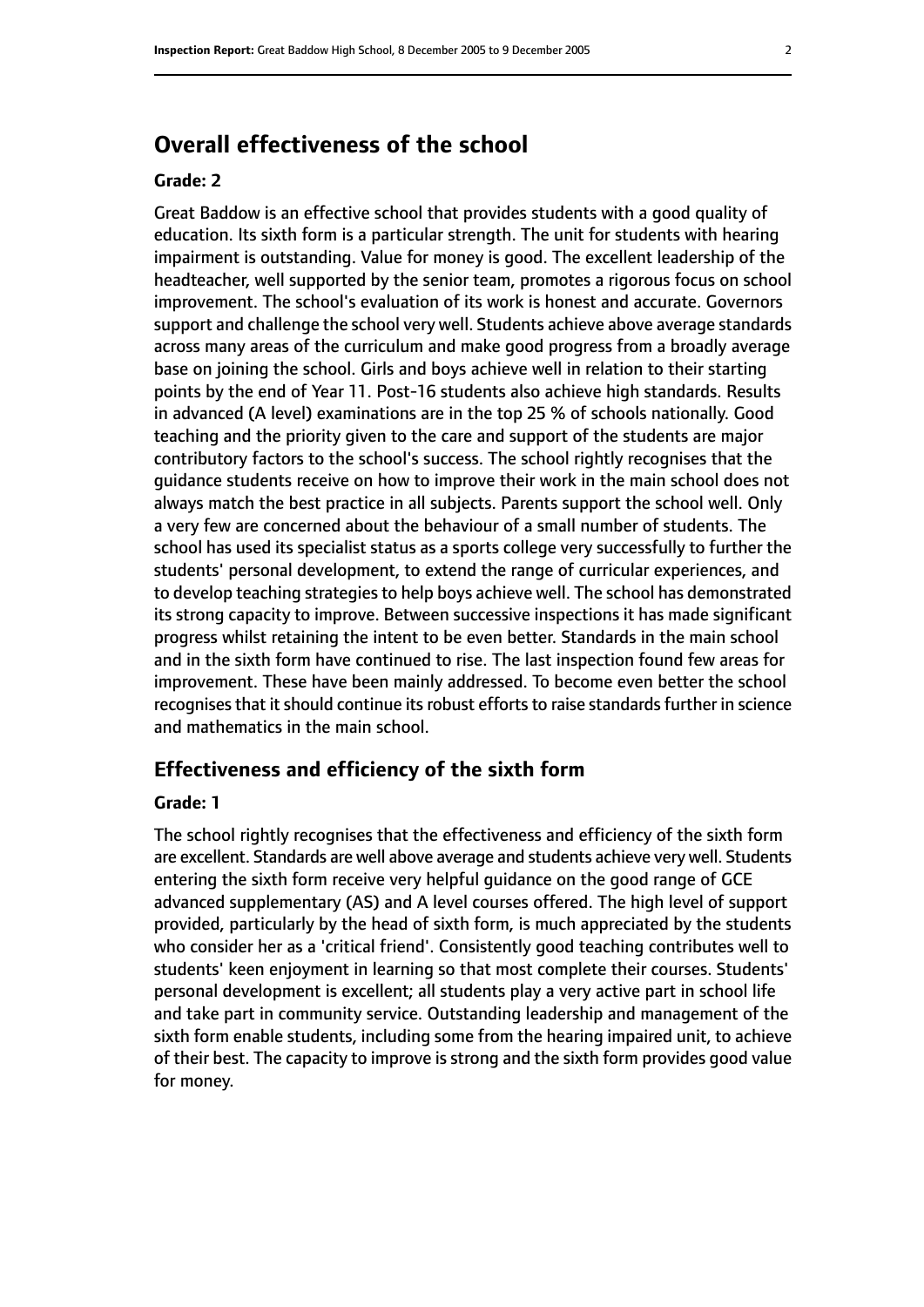### **Overall effectiveness of the school**

#### **Grade: 2**

Great Baddow is an effective school that provides students with a good quality of education. Its sixth form is a particular strength. The unit for students with hearing impairment is outstanding. Value for money is good. The excellent leadership of the headteacher, well supported by the senior team, promotes a rigorous focus on school improvement. The school's evaluation of its work is honest and accurate. Governors support and challenge the school very well. Students achieve above average standards across many areas of the curriculum and make good progress from a broadly average base on joining the school. Girls and boys achieve well in relation to their starting points by the end of Year 11. Post-16 students also achieve high standards. Results in advanced (A level) examinations are in the top 25 % of schools nationally. Good teaching and the priority given to the care and support of the students are major contributory factors to the school's success. The school rightly recognises that the guidance students receive on how to improve their work in the main school does not always match the best practice in all subjects. Parents support the school well. Only a very few are concerned about the behaviour of a small number of students. The school has used its specialist status as a sports college very successfully to further the students' personal development, to extend the range of curricular experiences, and to develop teaching strategies to help boys achieve well. The school has demonstrated its strong capacity to improve. Between successive inspections it has made significant progress whilst retaining the intent to be even better. Standards in the main school and in the sixth form have continued to rise. The last inspection found few areas for improvement. These have been mainly addressed. To become even better the school recognises that it should continue its robust efforts to raise standards further in science and mathematics in the main school.

#### **Effectiveness and efficiency of the sixth form**

#### **Grade: 1**

The school rightly recognises that the effectiveness and efficiency of the sixth form are excellent. Standards are well above average and students achieve very well. Students entering the sixth form receive very helpful guidance on the good range of GCE advanced supplementary (AS) and A level courses offered. The high level of support provided, particularly by the head of sixth form, is much appreciated by the students who consider her as a 'critical friend'. Consistently good teaching contributes well to students' keen enjoyment in learning so that most complete their courses. Students' personal development is excellent; all students play a very active part in school life and take part in community service. Outstanding leadership and management of the sixth form enable students, including some from the hearing impaired unit, to achieve of their best. The capacity to improve is strong and the sixth form provides good value for money.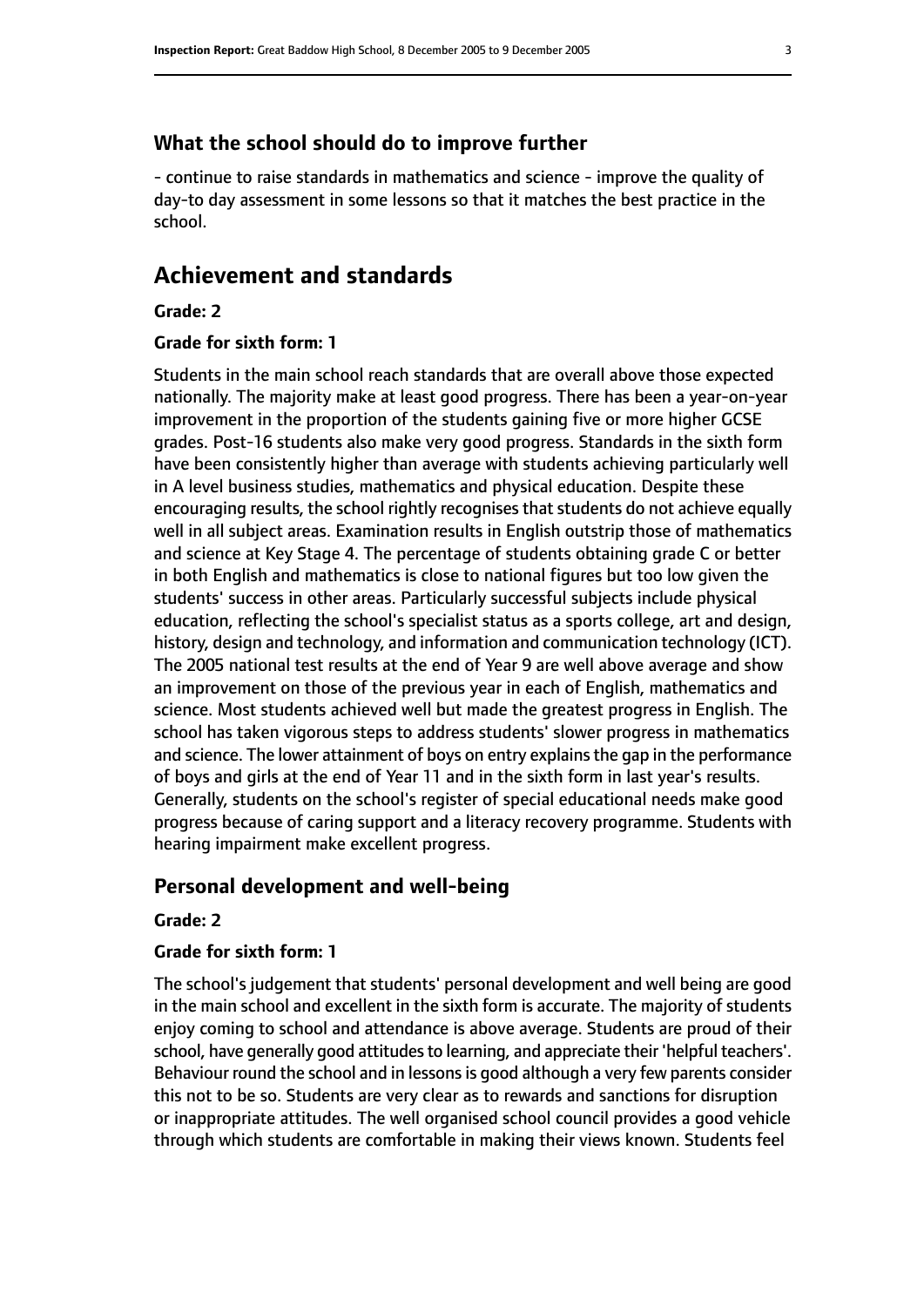#### **What the school should do to improve further**

- continue to raise standards in mathematics and science - improve the quality of day-to day assessment in some lessons so that it matches the best practice in the school.

#### **Achievement and standards**

#### **Grade: 2**

#### **Grade for sixth form: 1**

Students in the main school reach standards that are overall above those expected nationally. The majority make at least good progress. There has been a year-on-year improvement in the proportion of the students gaining five or more higher GCSE grades. Post-16 students also make very good progress. Standards in the sixth form have been consistently higher than average with students achieving particularly well in A level business studies, mathematics and physical education. Despite these encouraging results, the school rightly recognises that students do not achieve equally well in all subject areas. Examination results in English outstrip those of mathematics and science at Key Stage 4. The percentage of students obtaining grade C or better in both English and mathematics is close to national figures but too low given the students' success in other areas. Particularly successful subjects include physical education, reflecting the school's specialist status as a sports college, art and design, history, design and technology, and information and communication technology (ICT). The 2005 national test results at the end of Year 9 are well above average and show an improvement on those of the previous year in each of English, mathematics and science. Most students achieved well but made the greatest progress in English. The school has taken vigorous steps to address students' slower progress in mathematics and science. The lower attainment of boys on entry explains the gap in the performance of boys and girls at the end of Year 11 and in the sixth form in last year's results. Generally, students on the school's register of special educational needs make good progress because of caring support and a literacy recovery programme. Students with hearing impairment make excellent progress.

#### **Personal development and well-being**

#### **Grade: 2**

#### **Grade for sixth form: 1**

The school's judgement that students' personal development and well being are good in the main school and excellent in the sixth form is accurate. The majority of students enjoy coming to school and attendance is above average. Students are proud of their school, have generally good attitudes to learning, and appreciate their 'helpful teachers'. Behaviour round the school and in lessons is good although a very few parents consider this not to be so. Students are very clear as to rewards and sanctions for disruption or inappropriate attitudes. The well organised school council provides a good vehicle through which students are comfortable in making their views known. Students feel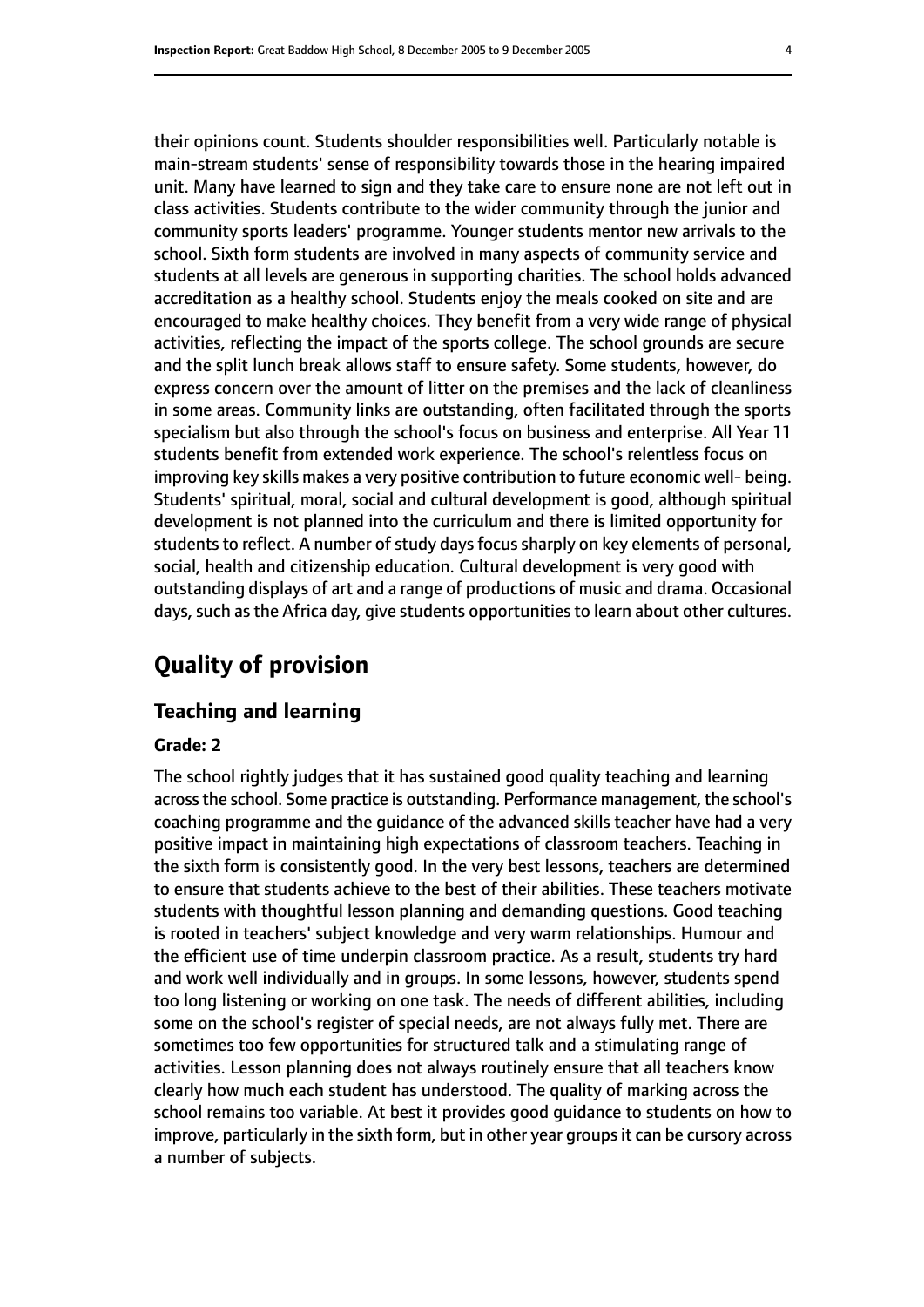their opinions count. Students shoulder responsibilities well. Particularly notable is main-stream students' sense of responsibility towards those in the hearing impaired unit. Many have learned to sign and they take care to ensure none are not left out in class activities. Students contribute to the wider community through the junior and community sports leaders' programme. Younger students mentor new arrivals to the school. Sixth form students are involved in many aspects of community service and students at all levels are generous in supporting charities. The school holds advanced accreditation as a healthy school. Students enjoy the meals cooked on site and are encouraged to make healthy choices. They benefit from a very wide range of physical activities, reflecting the impact of the sports college. The school grounds are secure and the split lunch break allows staff to ensure safety. Some students, however, do express concern over the amount of litter on the premises and the lack of cleanliness in some areas. Community links are outstanding, often facilitated through the sports specialism but also through the school's focus on business and enterprise. All Year 11 students benefit from extended work experience. The school's relentless focus on improving key skills makes a very positive contribution to future economic well- being. Students' spiritual, moral, social and cultural development is good, although spiritual development is not planned into the curriculum and there is limited opportunity for students to reflect. A number of study days focus sharply on key elements of personal, social, health and citizenship education. Cultural development is very good with outstanding displays of art and a range of productions of music and drama. Occasional days, such as the Africa day, give students opportunities to learn about other cultures.

# **Quality of provision**

#### **Teaching and learning**

#### **Grade: 2**

The school rightly judges that it has sustained good quality teaching and learning acrossthe school. Some practice is outstanding. Performance management, the school's coaching programme and the guidance of the advanced skills teacher have had a very positive impact in maintaining high expectations of classroom teachers. Teaching in the sixth form is consistently good. In the very best lessons, teachers are determined to ensure that students achieve to the best of their abilities. These teachers motivate students with thoughtful lesson planning and demanding questions. Good teaching is rooted in teachers' subject knowledge and very warm relationships. Humour and the efficient use of time underpin classroom practice. As a result, students try hard and work well individually and in groups. In some lessons, however, students spend too long listening or working on one task. The needs of different abilities, including some on the school's register of special needs, are not always fully met. There are sometimes too few opportunities for structured talk and a stimulating range of activities. Lesson planning does not always routinely ensure that all teachers know clearly how much each student has understood. The quality of marking across the school remains too variable. At best it provides good guidance to students on how to improve, particularly in the sixth form, but in other year groups it can be cursory across a number of subjects.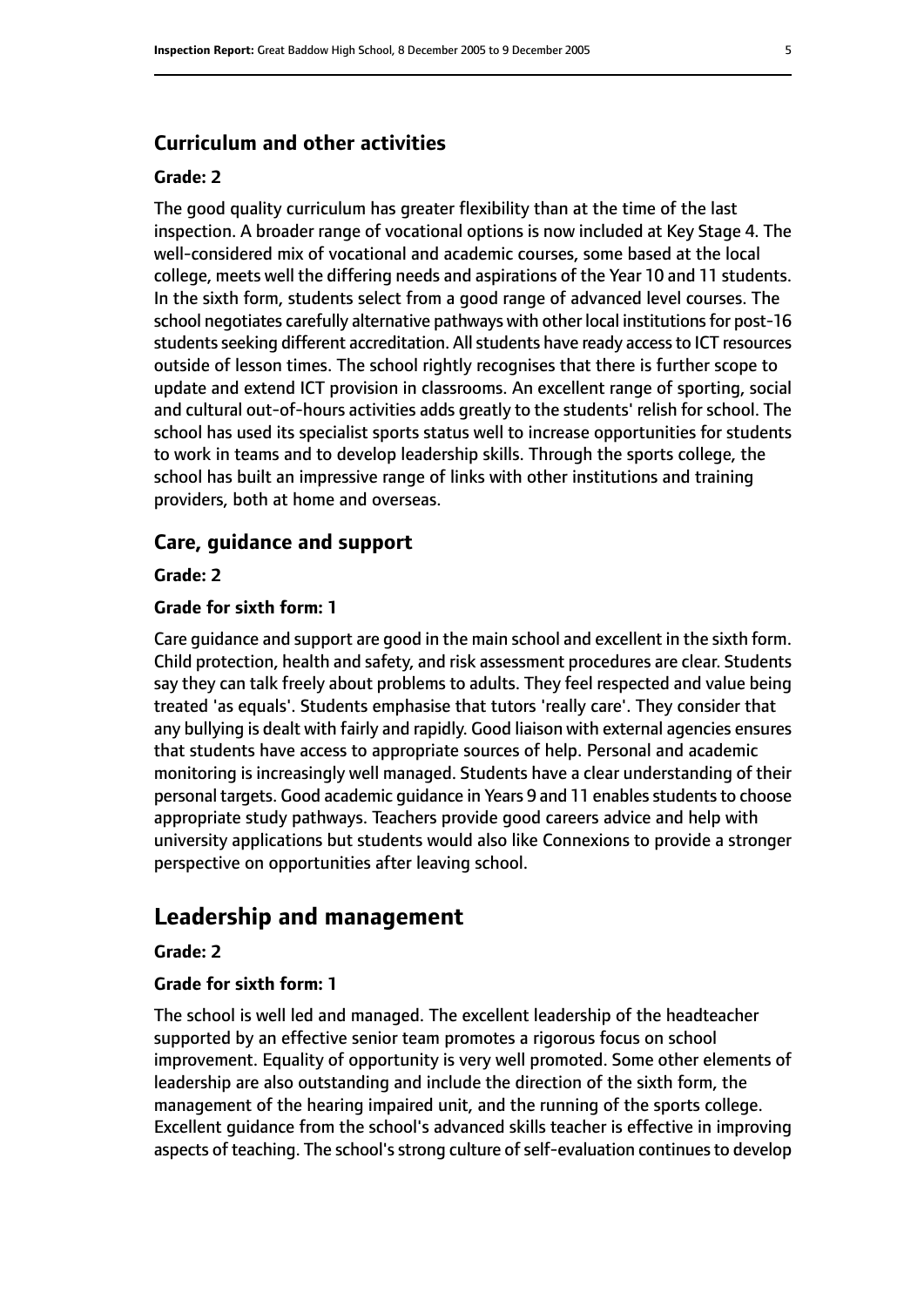#### **Curriculum and other activities**

#### **Grade: 2**

The good quality curriculum has greater flexibility than at the time of the last inspection. A broader range of vocational options is now included at Key Stage 4. The well-considered mix of vocational and academic courses, some based at the local college, meets well the differing needs and aspirations of the Year 10 and 11 students. In the sixth form, students select from a good range of advanced level courses. The school negotiates carefully alternative pathways with other local institutions for post-16 students seeking different accreditation. All students have ready access to ICT resources outside of lesson times. The school rightly recognises that there is further scope to update and extend ICT provision in classrooms. An excellent range of sporting, social and cultural out-of-hours activities adds greatly to the students' relish for school. The school has used its specialist sports status well to increase opportunities for students to work in teams and to develop leadership skills. Through the sports college, the school has built an impressive range of links with other institutions and training providers, both at home and overseas.

#### **Care, guidance and support**

**Grade: 2**

#### **Grade for sixth form: 1**

Care guidance and support are good in the main school and excellent in the sixth form. Child protection, health and safety, and risk assessment procedures are clear. Students say they can talk freely about problems to adults. They feel respected and value being treated 'as equals'. Students emphasise that tutors 'really care'. They consider that any bullying is dealt with fairly and rapidly. Good liaison with external agencies ensures that students have access to appropriate sources of help. Personal and academic monitoring is increasingly well managed. Students have a clear understanding of their personal targets. Good academic quidance in Years 9 and 11 enables students to choose appropriate study pathways. Teachers provide good careers advice and help with university applications but students would also like Connexions to provide a stronger perspective on opportunities after leaving school.

#### **Leadership and management**

#### **Grade: 2**

#### **Grade for sixth form: 1**

The school is well led and managed. The excellent leadership of the headteacher supported by an effective senior team promotes a rigorous focus on school improvement. Equality of opportunity is very well promoted. Some other elements of leadership are also outstanding and include the direction of the sixth form, the management of the hearing impaired unit, and the running of the sports college. Excellent guidance from the school's advanced skills teacher is effective in improving aspects of teaching. The school's strong culture of self-evaluation continues to develop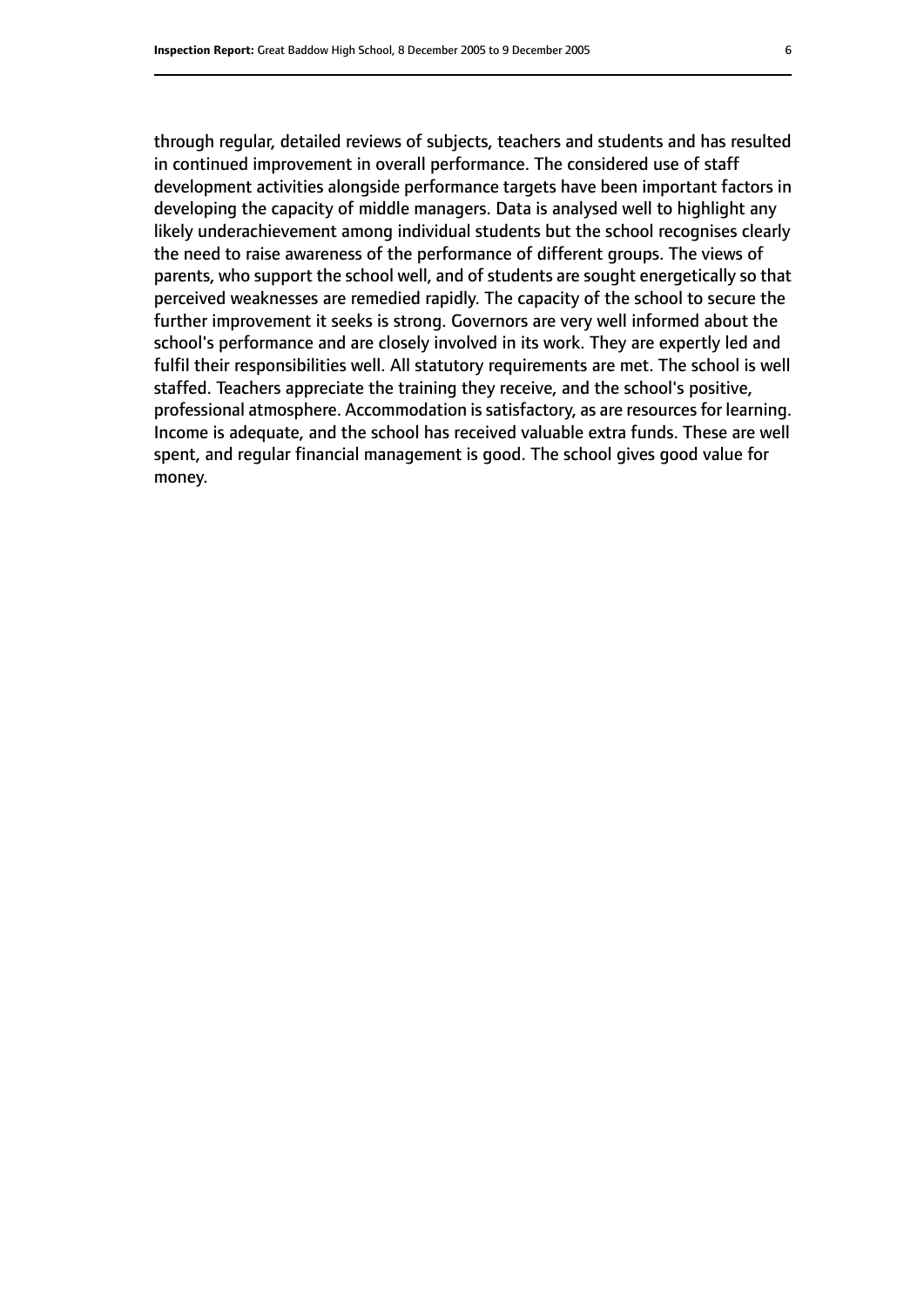through regular, detailed reviews of subjects, teachers and students and has resulted in continued improvement in overall performance. The considered use of staff development activities alongside performance targets have been important factors in developing the capacity of middle managers. Data is analysed well to highlight any likely underachievement among individual students but the school recognises clearly the need to raise awareness of the performance of different groups. The views of parents, who support the school well, and of students are sought energetically so that perceived weaknesses are remedied rapidly. The capacity of the school to secure the further improvement it seeks is strong. Governors are very well informed about the school's performance and are closely involved in its work. They are expertly led and fulfil their responsibilities well. All statutory requirements are met. The school is well staffed. Teachers appreciate the training they receive, and the school's positive, professional atmosphere. Accommodation is satisfactory, as are resources for learning. Income is adequate, and the school has received valuable extra funds. These are well spent, and regular financial management is good. The school gives good value for money.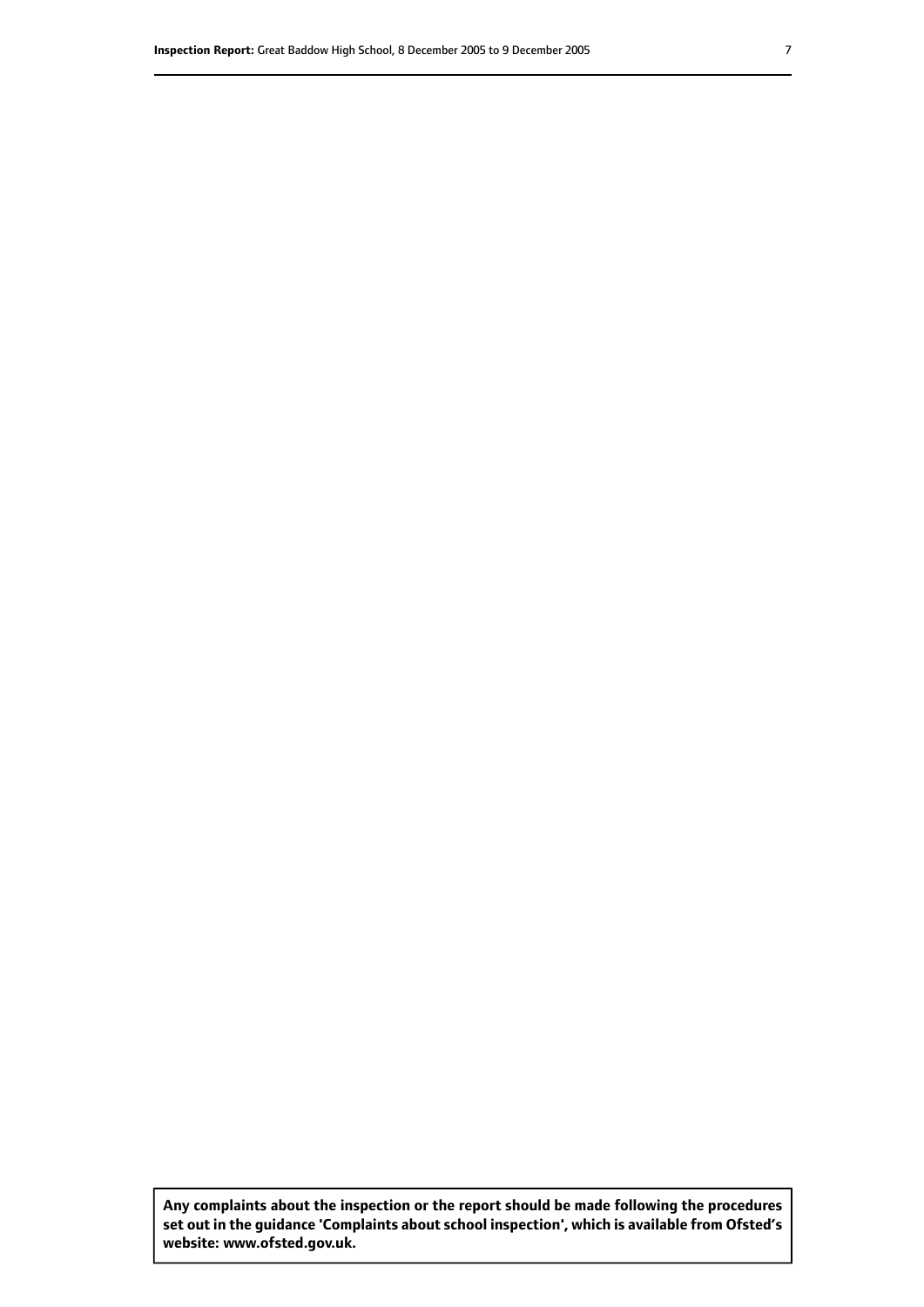**Any complaints about the inspection or the report should be made following the procedures set out inthe guidance 'Complaints about school inspection', whichis available from Ofsted's website: www.ofsted.gov.uk.**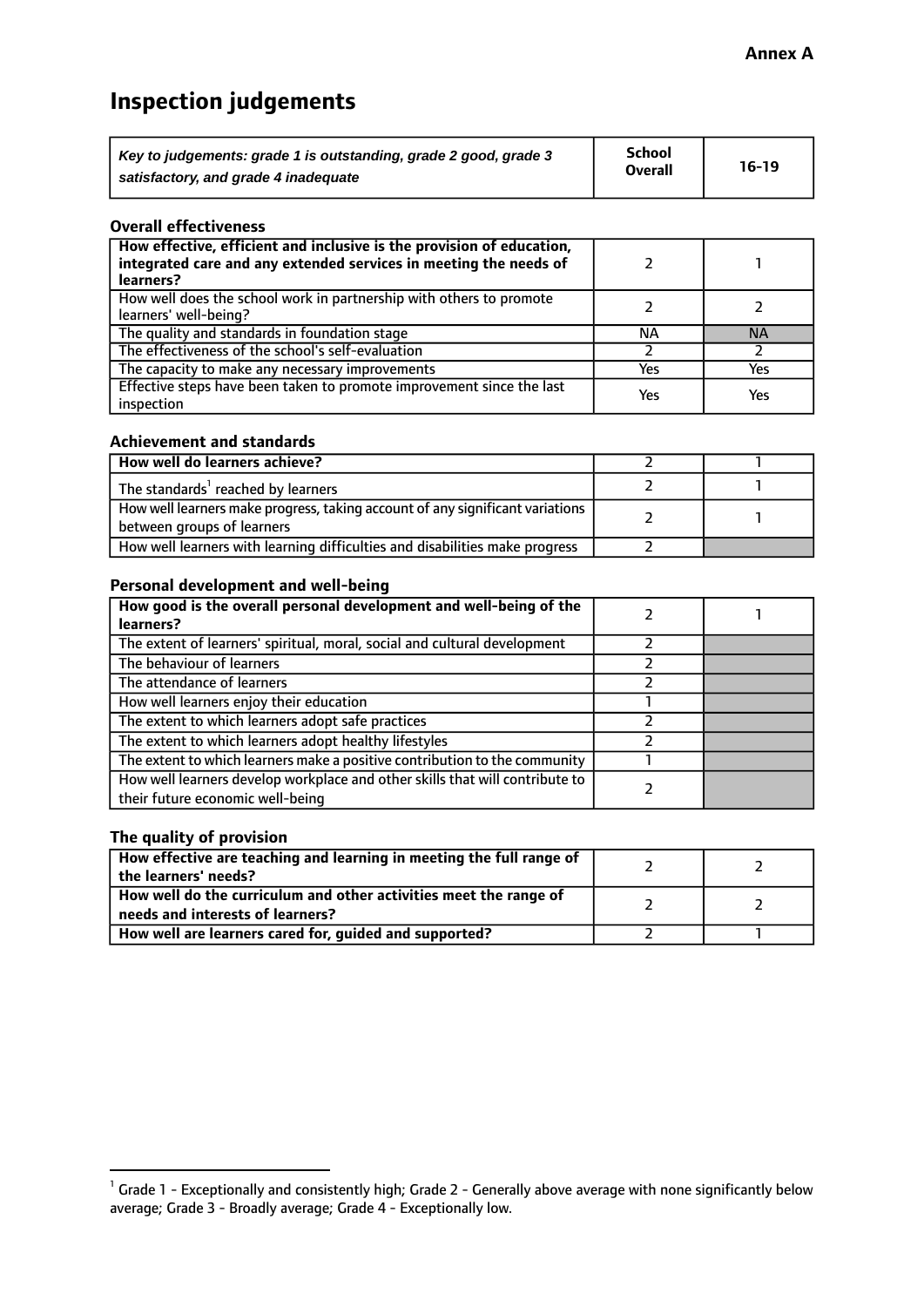# **Inspection judgements**

| Key to judgements: grade 1 is outstanding, grade 2 good, grade 3 | School         | $16-19$ |
|------------------------------------------------------------------|----------------|---------|
| satisfactory, and grade 4 inadequate                             | <b>Overall</b> |         |

#### **Overall effectiveness**

| How effective, efficient and inclusive is the provision of education,<br>integrated care and any extended services in meeting the needs of<br>learners? |     |           |
|---------------------------------------------------------------------------------------------------------------------------------------------------------|-----|-----------|
| How well does the school work in partnership with others to promote<br>learners' well-being?                                                            |     |           |
| The quality and standards in foundation stage                                                                                                           | ΝA  | <b>NA</b> |
| The effectiveness of the school's self-evaluation                                                                                                       |     |           |
| The capacity to make any necessary improvements                                                                                                         | Yes | Yes       |
| Effective steps have been taken to promote improvement since the last<br>inspection                                                                     | Yes | Yes       |

#### **Achievement and standards**

| How well do learners achieve?                                                                                 |  |
|---------------------------------------------------------------------------------------------------------------|--|
| The standards <sup>1</sup> reached by learners                                                                |  |
| How well learners make progress, taking account of any significant variations  <br>between groups of learners |  |
| How well learners with learning difficulties and disabilities make progress                                   |  |

#### **Personal development and well-being**

| How good is the overall personal development and well-being of the<br>learners?                                  |  |
|------------------------------------------------------------------------------------------------------------------|--|
| The extent of learners' spiritual, moral, social and cultural development                                        |  |
| The behaviour of learners                                                                                        |  |
| The attendance of learners                                                                                       |  |
| How well learners enjoy their education                                                                          |  |
| The extent to which learners adopt safe practices                                                                |  |
| The extent to which learners adopt healthy lifestyles                                                            |  |
| The extent to which learners make a positive contribution to the community                                       |  |
| How well learners develop workplace and other skills that will contribute to<br>their future economic well-being |  |

#### **The quality of provision**

| How effective are teaching and learning in meeting the full range of<br>the learners' needs?          |  |
|-------------------------------------------------------------------------------------------------------|--|
| How well do the curriculum and other activities meet the range of<br>needs and interests of learners? |  |
| How well are learners cared for, guided and supported?                                                |  |

 $^1$  Grade 1 - Exceptionally and consistently high; Grade 2 - Generally above average with none significantly below average; Grade 3 - Broadly average; Grade 4 - Exceptionally low.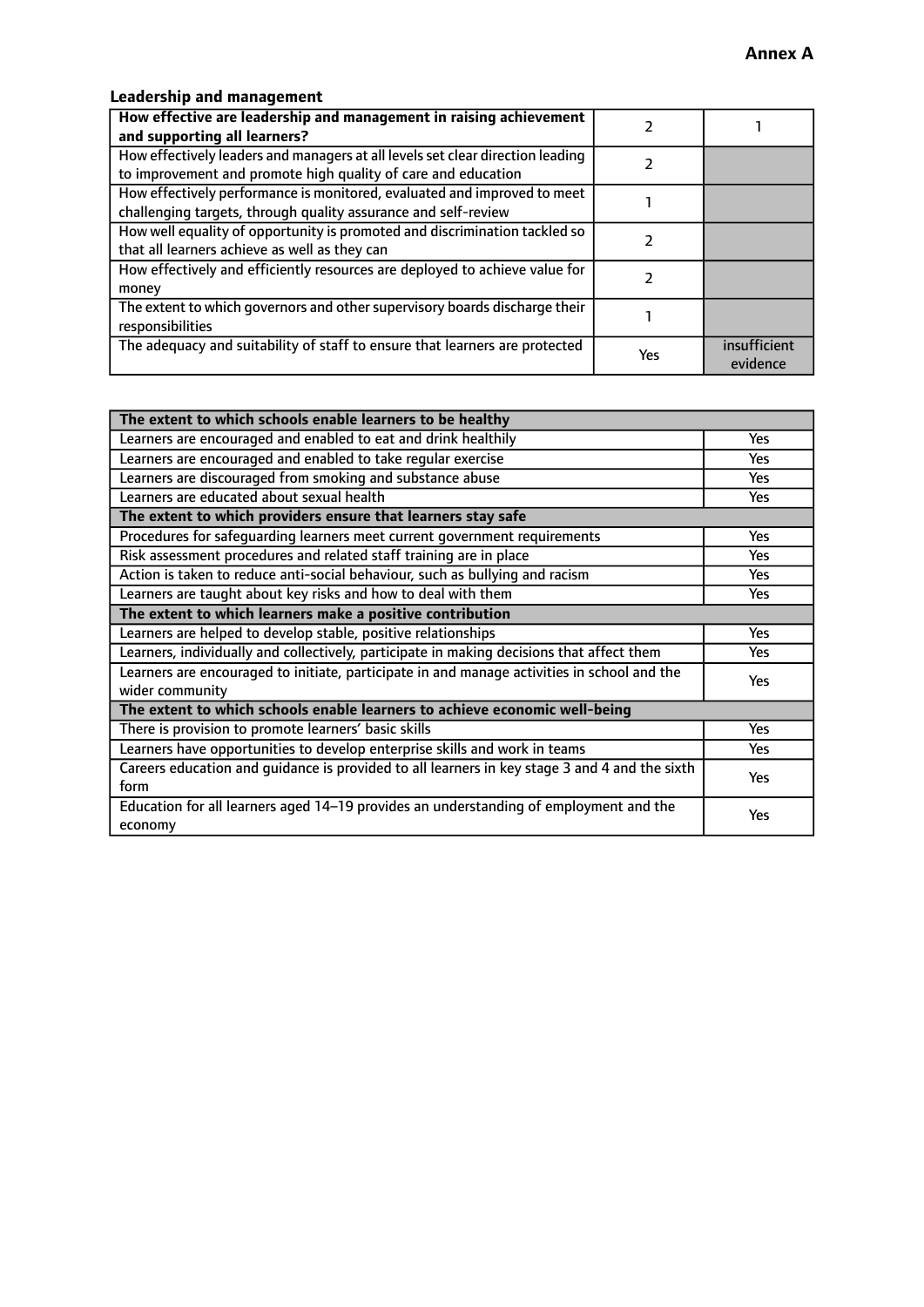#### **Leadership and management**

| How effective are leadership and management in raising achievement<br>and supporting all learners?                                              |     |                          |
|-------------------------------------------------------------------------------------------------------------------------------------------------|-----|--------------------------|
| How effectively leaders and managers at all levels set clear direction leading<br>to improvement and promote high quality of care and education |     |                          |
| How effectively performance is monitored, evaluated and improved to meet<br>challenging targets, through quality assurance and self-review      |     |                          |
| How well equality of opportunity is promoted and discrimination tackled so<br>that all learners achieve as well as they can                     |     |                          |
| How effectively and efficiently resources are deployed to achieve value for<br>money                                                            |     |                          |
| The extent to which governors and other supervisory boards discharge their<br>responsibilities                                                  |     |                          |
| The adequacy and suitability of staff to ensure that learners are protected                                                                     | Yes | insufficient<br>evidence |

| The extent to which schools enable learners to be healthy                                     |            |  |
|-----------------------------------------------------------------------------------------------|------------|--|
| Learners are encouraged and enabled to eat and drink healthily                                | <b>Yes</b> |  |
| Learners are encouraged and enabled to take regular exercise                                  | <b>Yes</b> |  |
| Learners are discouraged from smoking and substance abuse                                     | Yes        |  |
| Learners are educated about sexual health                                                     | <b>Yes</b> |  |
| The extent to which providers ensure that learners stay safe                                  |            |  |
| Procedures for safequarding learners meet current government requirements                     | <b>Yes</b> |  |
| Risk assessment procedures and related staff training are in place                            | <b>Yes</b> |  |
| Action is taken to reduce anti-social behaviour, such as bullying and racism                  | Yes        |  |
| Learners are taught about key risks and how to deal with them                                 | <b>Yes</b> |  |
| The extent to which learners make a positive contribution                                     |            |  |
| Learners are helped to develop stable, positive relationships                                 | <b>Yes</b> |  |
| Learners, individually and collectively, participate in making decisions that affect them     | Yes        |  |
| Learners are encouraged to initiate, participate in and manage activities in school and the   | <b>Yes</b> |  |
| wider community                                                                               |            |  |
| The extent to which schools enable learners to achieve economic well-being                    |            |  |
| There is provision to promote learners' basic skills                                          | Yes        |  |
| Learners have opportunities to develop enterprise skills and work in teams                    | <b>Yes</b> |  |
| Careers education and quidance is provided to all learners in key stage 3 and 4 and the sixth | Yes        |  |
| form                                                                                          |            |  |
| Education for all learners aged 14–19 provides an understanding of employment and the         | Yes        |  |
| economy                                                                                       |            |  |